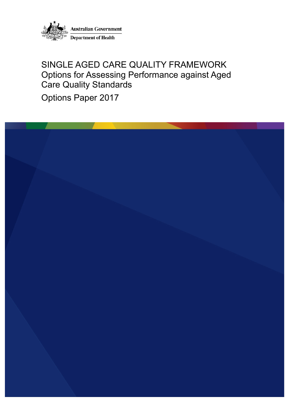

## SINGLE AGED CARE QUALITY FRAMEWORK Options for Assessing Performance against Aged Care Quality Standards

Options Paper 2017

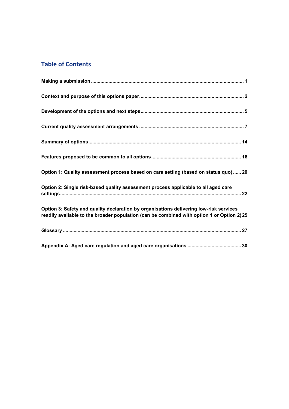## **Table of Contents**

| Option 1: Quality assessment process based on care setting (based on status quo) 20                                                                                                  |
|--------------------------------------------------------------------------------------------------------------------------------------------------------------------------------------|
| Option 2: Single risk-based quality assessment process applicable to all aged care                                                                                                   |
| Option 3: Safety and quality declaration by organisations delivering low-risk services<br>readily available to the broader population (can be combined with option 1 or Option 2) 25 |
|                                                                                                                                                                                      |
|                                                                                                                                                                                      |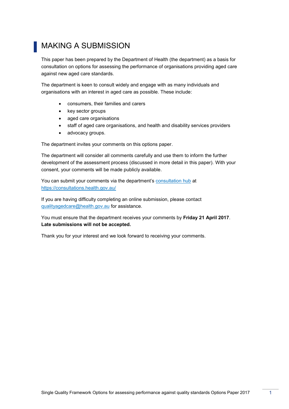## <span id="page-2-0"></span>MAKING A SUBMISSION

This paper has been prepared by the Department of Health (the department) as a basis for consultation on options for assessing the performance of organisations providing aged care against new aged care standards.

The department is keen to consult widely and engage with as many individuals and organisations with an interest in aged care as possible. These include:

- consumers, their families and carers
- key sector groups
- aged care organisations
- staff of aged care organisations, and health and disability services providers
- advocacy groups.

The department invites your comments on this options paper.

The department will consider all comments carefully and use them to inform the further development of the assessment process (discussed in more detail in this paper). With your consent, your comments will be made publicly available.

You can submit your comments via the department's [consultation hub](https://consultations.health.gov.au/) at <https://consultations.health.gov.au/>

If you are having difficulty completing an online submission, please contact [qualityagedcare@health.gov.au](mailto:qualityagedcare@health.gov.au) for assistance.

You must ensure that the department receives your comments by **Friday 21 April 2017**. **Late submissions will not be accepted.**

Thank you for your interest and we look forward to receiving your comments.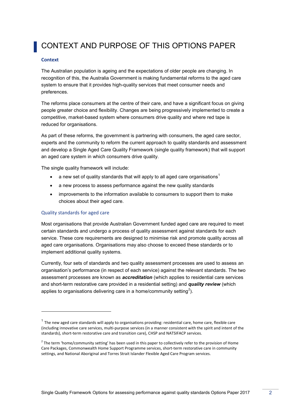## <span id="page-3-0"></span>CONTEXT AND PURPOSE OF THIS OPTIONS PAPER

#### **Context**

The Australian population is ageing and the expectations of older people are changing. In recognition of this, the Australia Government is making fundamental reforms to the aged care system to ensure that it provides high-quality services that meet consumer needs and preferences.

The reforms place consumers at the centre of their care, and have a significant focus on giving people greater choice and flexibility. Changes are being progressively implemented to create a competitive, market-based system where consumers drive quality and where red tape is reduced for organisations.

As part of these reforms, the government is partnering with consumers, the aged care sector, experts and the community to reform the current approach to quality standards and assessment and develop a Single Aged Care Quality Framework (single quality framework) that will support an aged care system in which consumers drive quality.

The single quality framework will include:

- a new set of quality standards that will apply to all aged care organisations<sup>1</sup>
- a new process to assess performance against the new quality standards
- improvements to the information available to consumers to support them to make choices about their aged care.

### Quality standards for aged care

-

Most organisations that provide Australian Government funded aged care are required to meet certain standards and undergo a process of quality assessment against standards for each service. These core requirements are designed to minimise risk and promote quality across all aged care organisations. Organisations may also choose to exceed these standards or to implement additional quality systems.

Currently, four sets of standards and two quality assessment processes are used to assess an organisation's performance (in respect of each service) against the relevant standards. The two assessment processes are known as *accreditation* (which applies to residential care services and short-term restorative care provided in a residential setting) and *quality review* (which applies to organisations delivering care in a home/community setting<sup>2</sup>).

 $1$  The new aged care standards will apply to organisations providing: residential care, home care, flexible care (including innovative care services, multi-purpose services (in a manner consistent with the spirit and intent of the standards), short-term restorative care and transition care), CHSP and NATSIFACP services.

 $2$  The term 'home/community setting' has been used in this paper to collectively refer to the provision of Home Care Packages, Commonwealth Home Support Programme services, short-term restorative care in community settings, and National Aboriginal and Torres Strait Islander Flexible Aged Care Program services.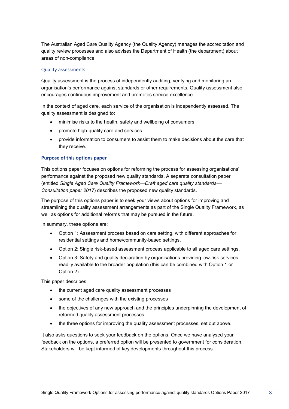The Australian Aged Care Quality Agency (the Quality Agency) manages the accreditation and quality review processes and also advises the Department of Health (the department) about areas of non-compliance.

## Quality assessments

Quality assessment is the process of independently auditing, verifying and monitoring an organisation's performance against standards or other requirements. Quality assessment also encourages continuous improvement and promotes service excellence.

In the context of aged care, each service of the organisation is independently assessed. The quality assessment is designed to:

- minimise risks to the health, safety and wellbeing of consumers
- promote high-quality care and services
- provide information to consumers to assist them to make decisions about the care that they receive.

## **Purpose of this options paper**

This options paper focuses on options for reforming the process for assessing organisations' performance against the proposed new quality standards. A separate consultation paper (entitled *Single Aged Care Quality FrameworkDraft aged care quality standards Consultation paper 2017*) describes the proposed new quality standards.

The purpose of this options paper is to seek your views about options for improving and streamlining the quality assessment arrangements as part of the Single Quality Framework, as well as options for additional reforms that may be pursued in the future.

In summary, these options are:

- Option 1: Assessment process based on care setting, with different approaches for residential settings and home/community-based settings.
- Option 2: Single risk-based assessment process applicable to all aged care settings.
- Option 3: Safety and quality declaration by organisations providing low-risk services readily available to the broader population (this can be combined with Option 1 or Option 2).

This paper describes:

- the current aged care quality assessment processes
- some of the challenges with the existing processes
- the objectives of any new approach and the principles underpinning the development of reformed quality assessment processes
- the three options for improving the quality assessment processes, set out above.

It also asks questions to seek your feedback on the options. Once we have analysed your feedback on the options, a preferred option will be presented to government for consideration. Stakeholders will be kept informed of key developments throughout this process.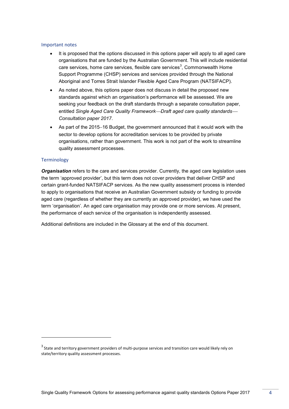## Important notes

- It is proposed that the options discussed in this options paper will apply to all aged care organisations that are funded by the Australian Government. This will include residential care services, home care services, flexible care services<sup>3</sup>, Commonwealth Home Support Programme (CHSP) services and services provided through the National Aboriginal and Torres Strait Islander Flexible Aged Care Program (NATSIFACP).
- As noted above, this options paper does not discuss in detail the proposed new standards against which an organisation's performance will be assessed. We are seeking your feedback on the draft standards through a separate consultation paper, entitled *Single Aged Care Quality FrameworkDraft aged care quality standards Consultation paper 2017*.
- As part of the 2015–16 Budget, the government announced that it would work with the sector to develop options for accreditation services to be provided by private organisations, rather than government. This work is not part of the work to streamline quality assessment processes.

## **Terminology**

-

*Organisation* refers to the care and services provider. Currently, the aged care legislation uses the term 'approved provider', but this term does not cover providers that deliver CHSP and certain grant-funded NATSIFACP services. As the new quality assessment process is intended to apply to organisations that receive an Australian Government subsidy or funding to provide aged care (regardless of whether they are currently an approved provider), we have used the term 'organisation'. An aged care organisation may provide one or more services. At present, the performance of each service of the organisation is independently assessed.

Additional definitions are included in the Glossary at the end of this document.

 $^3$  State and territory government providers of multi-purpose services and transition care would likely rely on state/territory quality assessment processes.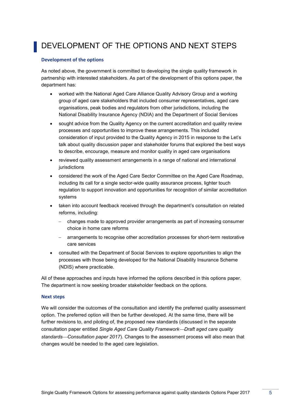## <span id="page-6-0"></span>DEVELOPMENT OF THE OPTIONS AND NEXT STEPS

### **Development of the options**

As noted above, the government is committed to developing the single quality framework in partnership with interested stakeholders. As part of the development of this options paper, the department has:

- worked with the National Aged Care Alliance Quality Advisory Group and a working group of aged care stakeholders that included consumer representatives, aged care organisations, peak bodies and regulators from other jurisdictions, including the National Disability Insurance Agency (NDIA) and the Department of Social Services
- sought advice from the Quality Agency on the current accreditation and quality review processes and opportunities to improve these arrangements. This included consideration of input provided to the Quality Agency in 2015 in response to the Let's talk about quality discussion paper and stakeholder forums that explored the best ways to describe, encourage, measure and monitor quality in aged care organisations
- reviewed quality assessment arrangements in a range of national and international jurisdictions
- considered the work of the Aged Care Sector Committee on the Aged Care Roadmap, including its call for a single sector-wide quality assurance process, lighter touch regulation to support innovation and opportunities for recognition of similar accreditation systems
- taken into account feedback received through the department's consultation on related reforms, including:
	- changes made to approved provider arrangements as part of increasing consumer choice in home care reforms
	- arrangements to recognise other accreditation processes for short-term restorative care services
- consulted with the Department of Social Services to explore opportunities to align the processes with those being developed for the National Disability Insurance Scheme (NDIS) where practicable.

All of these approaches and inputs have informed the options described in this options paper. The department is now seeking broader stakeholder feedback on the options.

#### **Next steps**

We will consider the outcomes of the consultation and identify the preferred quality assessment option. The preferred option will then be further developed. At the same time, there will be further revisions to, and piloting of, the proposed new standards (discussed in the separate consultation paper entitled *Single Aged Care Quality FrameworkDraft aged care quality standardsConsultation paper 2017*)*.* Changes to the assessment process will also mean that changes would be needed to the aged care legislation.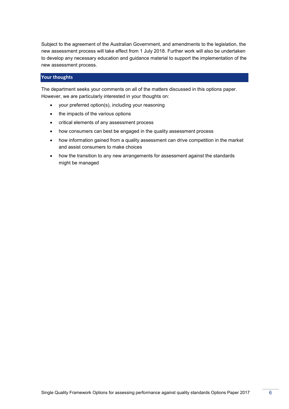Subject to the agreement of the Australian Government, and amendments to the legislation, the new assessment process will take effect from 1 July 2018. Further work will also be undertaken to develop any necessary education and guidance material to support the implementation of the new assessment process.

## **Your thoughts**

The department seeks your comments on all of the matters discussed in this options paper. However, we are particularly interested in your thoughts on:

- your preferred option(s), including your reasoning
- the impacts of the various options
- critical elements of any assessment process
- how consumers can best be engaged in the quality assessment process
- how information gained from a quality assessment can drive competition in the market and assist consumers to make choices
- how the transition to any new arrangements for assessment against the standards might be managed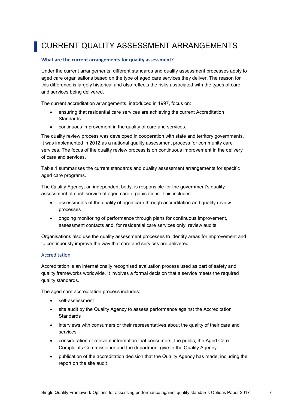## <span id="page-8-0"></span>CURRENT QUALITY ASSESSMENT ARRANGEMENTS

## **What are the current arrangements for quality assessment?**

Under the current arrangements, different standards and quality assessment processes apply to aged care organisations based on the type of aged care services they deliver. The reason for this difference is largely historical and also reflects the risks associated with the types of care and services being delivered.

The current accreditation arrangements, introduced in 1997, focus on:

- ensuring that residential care services are achieving the current Accreditation **Standards**
- continuous improvement in the quality of care and services.

The quality review process was developed in cooperation with state and territory governments. It was implemented in 2012 as a national quality assessment process for community care services. The focus of the quality review process is on continuous improvement in the delivery of care and services.

[Table 1](#page-12-0) summarises the current standards and quality assessment arrangements for specific aged care programs.

The Quality Agency, an independent body, is responsible for the government's quality assessment of each service of aged care organisations. This includes:

- assessments of the quality of aged care through accreditation and quality review processes
- ongoing monitoring of performance through plans for continuous improvement, assessment contacts and, for residential care services only, review audits.

Organisations also use the quality assessment processes to identify areas for improvement and to continuously improve the way that care and services are delivered.

## Accreditation

Accreditation is an internationally recognised evaluation process used as part of safety and quality frameworks worldwide. It involves a formal decision that a service meets the required quality standards.

The aged care accreditation process includes:

- self-assessment
- site audit by the Quality Agency to assess performance against the Accreditation **Standards**
- interviews with consumers or their representatives about the quality of their care and services
- consideration of relevant information that consumers, the public, the Aged Care Complaints Commissioner and the department give to the Quality Agency
- publication of the accreditation decision that the Quality Agency has made, including the report on the site audit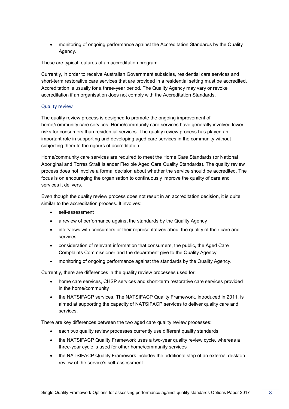monitoring of ongoing performance against the Accreditation Standards by the Quality Agency.

These are typical features of an accreditation program.

Currently, in order to receive Australian Government subsidies, residential care services and short-term restorative care services that are provided in a residential setting must be accredited. Accreditation is usually for a three-year period. The Quality Agency may vary or revoke accreditation if an organisation does not comply with the Accreditation Standards.

## Quality review

The quality review process is designed to promote the ongoing improvement of home/community care services. Home/community care services have generally involved lower risks for consumers than residential services. The quality review process has played an important role in supporting and developing aged care services in the community without subjecting them to the rigours of accreditation.

Home/community care services are required to meet the Home Care Standards (or National Aboriginal and Torres Strait Islander Flexible Aged Care Quality Standards). The quality review process does not involve a formal decision about whether the service should be accredited. The focus is on encouraging the organisation to continuously improve the quality of care and services it delivers.

Even though the quality review process does not result in an accreditation decision, it is quite similar to the accreditation process. It involves:

- self-assessment
- a review of performance against the standards by the Quality Agency
- interviews with consumers or their representatives about the quality of their care and services
- consideration of relevant information that consumers, the public, the Aged Care Complaints Commissioner and the department give to the Quality Agency
- monitoring of ongoing performance against the standards by the Quality Agency.

Currently, there are differences in the quality review processes used for:

- home care services, CHSP services and short-term restorative care services provided in the home/community
- the NATSIFACP services. The NATSIFACP Quality Framework, introduced in 2011, is aimed at supporting the capacity of NATSIFACP services to deliver quality care and services.

There are key differences between the two aged care quality review processes:

- each two quality review processes currently use different quality standards
- the NATSIFACP Quality Framework uses a two-year quality review cycle, whereas a three-year cycle is used for other home/community services
- the NATSIFACP Quality Framework includes the additional step of an external desktop review of the service's self-assessment.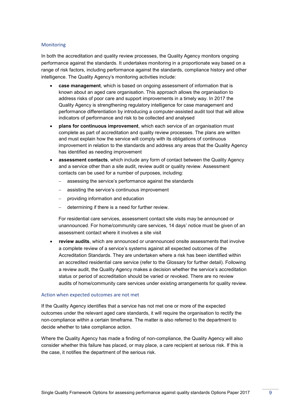### **Monitoring**

In both the accreditation and quality review processes, the Quality Agency monitors ongoing performance against the standards. It undertakes monitoring in a proportionate way based on a range of risk factors, including performance against the standards, compliance history and other intelligence. The Quality Agency's monitoring activities include:

- **case management**, which is based on ongoing assessment of information that is known about an aged care organisation. This approach allows the organisation to address risks of poor care and support improvements in a timely way. In 2017 the Quality Agency is strengthening regulatory intelligence for case management and performance differentiation by introducing a computer-assisted audit tool that will allow indicators of performance and risk to be collected and analysed
- **plans for continuous improvement**, which each service of an organisation must complete as part of accreditation and quality review processes. The plans are written and must explain how the service will comply with its obligations of continuous improvement in relation to the standards and address any areas that the Quality Agency has identified as needing improvement
- **assessment contacts**, which include any form of contact between the Quality Agency and a service other than a site audit, review audit or quality review. Assessment contacts can be used for a number of purposes, including:
	- assessing the service's performance against the standards
	- assisting the service's continuous improvement
	- providing information and education
	- determining if there is a need for further review.

For residential care services, assessment contact site visits may be announced or unannounced. For home/community care services, 14 days' notice must be given of an assessment contact where it involves a site visit

 **review audits**, which are announced or unannounced onsite assessments that involve a complete review of a service's systems against all expected outcomes of the Accreditation Standards. They are undertaken where a risk has been identified within an accredited residential care service (refer to the Glossary for further detail). Following a review audit, the Quality Agency makes a decision whether the service's accreditation status or period of accreditation should be varied or revoked. There are no review audits of home/community care services under existing arrangements for quality review.

### Action when expected outcomes are not met

If the Quality Agency identifies that a service has not met one or more of the expected outcomes under the relevant aged care standards, it will require the organisation to rectify the non-compliance within a certain timeframe. The matter is also referred to the department to decide whether to take compliance action.

Where the Quality Agency has made a finding of non-compliance, the Quality Agency will also consider whether this failure has placed, or may place, a care recipient at serious risk. If this is the case, it notifies the department of the serious risk.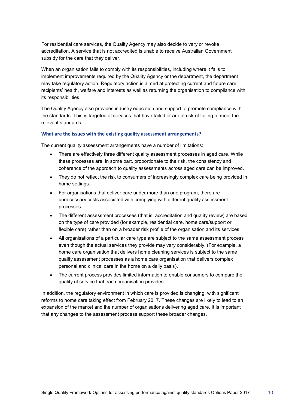For residential care services, the Quality Agency may also decide to vary or revoke accreditation. A service that is not accredited is unable to receive Australian Government subsidy for the care that they deliver.

When an organisation fails to comply with its responsibilities, including where it fails to implement improvements required by the Quality Agency or the department, the department may take regulatory action. Regulatory action is aimed at protecting current and future care recipients' health, welfare and interests as well as returning the organisation to compliance with its responsibilities.

The Quality Agency also provides industry education and support to promote compliance with the standards. This is targeted at services that have failed or are at risk of failing to meet the relevant standards.

### **What are the issues with the existing quality assessment arrangements?**

The current quality assessment arrangements have a number of limitations:

- There are effectively three different quality assessment processes in aged care. While these processes are, in some part, proportionate to the risk, the consistency and coherence of the approach to quality assessments across aged care can be improved.
- They do not reflect the risk to consumers of increasingly complex care being provided in home settings.
- For organisations that deliver care under more than one program, there are unnecessary costs associated with complying with different quality assessment processes.
- The different assessment processes (that is, accreditation and quality review) are based on the type of care provided (for example, residential care, home care/support or flexible care) rather than on a broader risk profile of the organisation and its services.
- All organisations of a particular care type are subject to the same assessment process even though the actual services they provide may vary considerably. (For example, a home care organisation that delivers home cleaning services is subject to the same quality assessment processes as a home care organisation that delivers complex personal and clinical care in the home on a daily basis).
- The current process provides limited information to enable consumers to compare the quality of service that each organisation provides.

In addition, the regulatory environment in which care is provided is changing, with significant reforms to home care taking effect from February 2017. These changes are likely to lead to an expansion of the market and the number of organisations delivering aged care. It is important that any changes to the assessment process support these broader changes.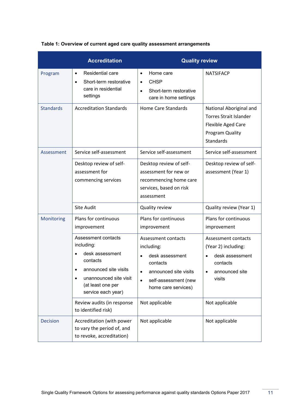|                  | <b>Accreditation</b>                                                                                                                                                                     | <b>Quality review</b>                                                                                                                                                           |                                                                                                                                 |
|------------------|------------------------------------------------------------------------------------------------------------------------------------------------------------------------------------------|---------------------------------------------------------------------------------------------------------------------------------------------------------------------------------|---------------------------------------------------------------------------------------------------------------------------------|
| Program          | Residential care<br>$\bullet$<br>Short-term restorative<br>$\bullet$<br>care in residential<br>settings                                                                                  | Home care<br>$\bullet$<br><b>CHSP</b><br>٠<br>Short-term restorative<br>$\bullet$<br>care in home settings                                                                      | <b>NATSIFACP</b>                                                                                                                |
| <b>Standards</b> | <b>Accreditation Standards</b>                                                                                                                                                           | <b>Home Care Standards</b>                                                                                                                                                      | National Aboriginal and<br><b>Torres Strait Islander</b><br>Flexible Aged Care<br>Program Quality<br>Standards                  |
| Assessment       | Service self-assessment                                                                                                                                                                  | Service self-assessment                                                                                                                                                         | Service self-assessment                                                                                                         |
|                  | Desktop review of self-<br>assessment for<br>commencing services                                                                                                                         | Desktop review of self-<br>assessment for new or<br>recommencing home care<br>services, based on risk<br>assessment                                                             | Desktop review of self-<br>assessment (Year 1)                                                                                  |
|                  | <b>Site Audit</b>                                                                                                                                                                        | Quality review                                                                                                                                                                  | Quality review (Year 1)                                                                                                         |
| Monitoring       | Plans for continuous<br>improvement                                                                                                                                                      | Plans for continuous<br>improvement                                                                                                                                             | Plans for continuous<br>improvement                                                                                             |
|                  | Assessment contacts<br>including:<br>desk assessment<br>contacts<br>announced site visits<br>$\bullet$<br>unannounced site visit<br>$\bullet$<br>(at least one per<br>service each year) | Assessment contacts<br>including:<br>desk assessment<br>$\bullet$<br>contacts<br>announced site visits<br>$\bullet$<br>self-assessment (new<br>$\bullet$<br>home care services) | Assessment contacts<br>(Year 2) including:<br>desk assessment<br>$\bullet$<br>contacts<br>announced site<br>$\bullet$<br>visits |
|                  | Review audits (in response<br>to identified risk)                                                                                                                                        | Not applicable                                                                                                                                                                  | Not applicable                                                                                                                  |
| <b>Decision</b>  | Accreditation (with power<br>to vary the period of, and<br>to revoke, accreditation)                                                                                                     | Not applicable                                                                                                                                                                  | Not applicable                                                                                                                  |

## <span id="page-12-0"></span>**Table 1: Overview of current aged care quality assessment arrangements**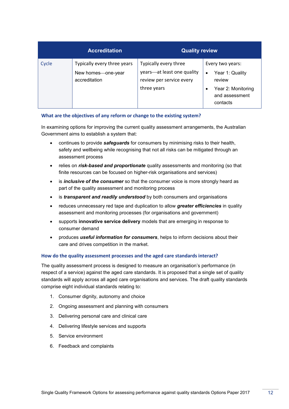|       | <b>Accreditation</b>                                               | <b>Quality review</b>                                                                          |                                                                                                   |
|-------|--------------------------------------------------------------------|------------------------------------------------------------------------------------------------|---------------------------------------------------------------------------------------------------|
| Cycle | Typically every three years<br>New homes—one-year<br>accreditation | Typically every three<br>years—at least one quality<br>review per service every<br>three years | Every two years:<br>Year 1: Quality<br>review<br>Year 2: Monitoring<br>and assessment<br>contacts |

## **What are the objectives of any reform or change to the existing system?**

In examining options for improving the current quality assessment arrangements, the Australian Government aims to establish a system that:

- continues to provide *safeguards* for consumers by minimising risks to their health, safety and wellbeing while recognising that not all risks can be mitigated through an assessment process
- relies on *risk-based and proportionate* quality assessments and monitoring (so that finite resources can be focused on higher-risk organisations and services)
- is *inclusive of the consumer* so that the consumer voice is more strongly heard as part of the quality assessment and monitoring process
- is *transparent and readily understood* by both consumers and organisations
- reduces unnecessary red tape and duplication to allow *greater efficiencies* in quality assessment and monitoring processes (for organisations and government)
- supports **innovative service delivery** models that are emerging in response to consumer demand
- produces *useful information for consumers*, helps to inform decisions about their care and drives competition in the market.

## **How do the quality assessment processes and the aged care standards interact?**

The quality assessment process is designed to measure an organisation's performance (in respect of a service) against the aged care standards. It is proposed that a single set of quality standards will apply across all aged care organisations and services. The draft quality standards comprise eight individual standards relating to:

- 1. Consumer dignity, autonomy and choice
- 2. Ongoing assessment and planning with consumers
- 3. Delivering personal care and clinical care
- 4. Delivering lifestyle services and supports
- 5. Service environment
- 6. Feedback and complaints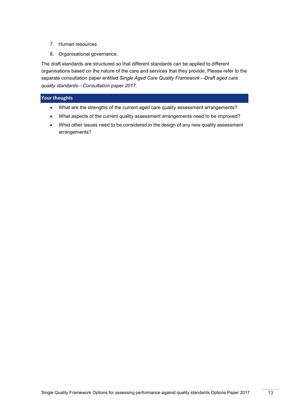- 7. Human resources
- 8. Organisational governance.

The draft standards are structured so that different standards can be applied to different organisations based on the nature of the care and services that they provide. Please refer to the separate consultation paper entitled *Single Aged Care Quality FrameworkDraft aged care quality standardsConsultation paper 2017.*

## **Your thoughts**

- What are the strengths of the current aged care quality assessment arrangements?
- What aspects of the current quality assessment arrangements need to be improved?
- What other issues need to be considered in the design of any new quality assessment arrangements?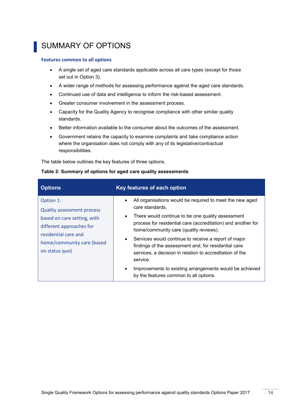## <span id="page-15-0"></span>SUMMARY OF OPTIONS

### **Features common to all options**

- A single set of aged care standards applicable across all care types (except for those set out in Option 3).
- A wider range of methods for assessing performance against the aged care standards.
- Continued use of data and intelligence to inform the risk-based assessment.
- Greater consumer involvement in the assessment process.
- Capacity for the Quality Agency to recognise compliance with other similar quality standards.
- Better information available to the consumer about the outcomes of the assessment.
- Government retains the capacity to examine complaints and take compliance action where the organisation does not comply with any of its legislative/contractual responsibilities.

The table [below](#page-15-1) outlines the key features of three options.

| <b>Options</b>                    | Key features of each option                                                                                  |
|-----------------------------------|--------------------------------------------------------------------------------------------------------------|
| Option 1:                         | All organisations would be required to meet the new aged<br>$\bullet$<br>care standards.                     |
| <b>Quality assessment process</b> |                                                                                                              |
| based on care setting, with       | There would continue to be one quality assessment<br>$\bullet$                                               |
| different approaches for          | process for residential care (accreditation) and another for<br>home/community care (quality reviews).       |
| residential care and              |                                                                                                              |
| home/community care (based        | Services would continue to receive a report of major<br>findings of the assessment and, for residential care |
| on status quo)                    | services, a decision in relation to accreditation of the<br>service.                                         |
|                                   | Improvements to existing arrangements would be achieved<br>by the features common to all options.            |

### <span id="page-15-1"></span>**Table 2: Summary of options for aged care quality assessments**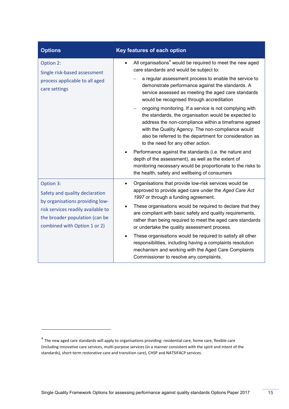| <b>Options</b>                                                                                                                          | Key features of each option                                                                                                                                                                                                                                                                                                 |
|-----------------------------------------------------------------------------------------------------------------------------------------|-----------------------------------------------------------------------------------------------------------------------------------------------------------------------------------------------------------------------------------------------------------------------------------------------------------------------------|
| Option 2:<br>Single risk-based assessment<br>process applicable to all aged<br>care settings                                            | All organisations <sup>4</sup> would be required to meet the new aged<br>care standards and would be subject to:                                                                                                                                                                                                            |
|                                                                                                                                         | a regular assessment process to enable the service to<br>demonstrate performance against the standards. A<br>service assessed as meeting the aged care standards<br>would be recognised through accreditation                                                                                                               |
|                                                                                                                                         | ongoing monitoring. If a service is not complying with<br>the standards, the organisation would be expected to<br>address the non-compliance within a timeframe agreed<br>with the Quality Agency. The non-compliance would<br>also be referred to the department for consideration as<br>to the need for any other action. |
|                                                                                                                                         | Performance against the standards (i.e. the nature and<br>depth of the assessment), as well as the extent of<br>monitoring necessary would be proportionate to the risks to<br>the health, safety and wellbeing of consumers                                                                                                |
| Option 3:<br>Safety and quality declaration                                                                                             | Organisations that provide low-risk services would be<br>$\bullet$<br>approved to provide aged care under the Aged Care Act<br>1997 or through a funding agreement.                                                                                                                                                         |
| by organisations providing low-<br>risk services readily available to<br>the broader population (can be<br>combined with Option 1 or 2) | These organisations would be required to declare that they<br>are compliant with basic safety and quality requirements,<br>rather than being required to meet the aged care standards<br>or undertake the quality assessment process.                                                                                       |
|                                                                                                                                         | These organisations would be required to satisfy all other<br>٠<br>responsibilities, including having a complaints resolution<br>mechanism and working with the Aged Care Complaints<br>Commissioner to resolve any complaints.                                                                                             |

-

<sup>&</sup>lt;sup>4</sup> The new aged care standards will apply to organisations providing: residential care, home care, flexible care (including innovative care services, multi-purpose services (in a manner consistent with the spirit and intent of the standards), short-term restorative care and transition care), CHSP and NATSIFACP services.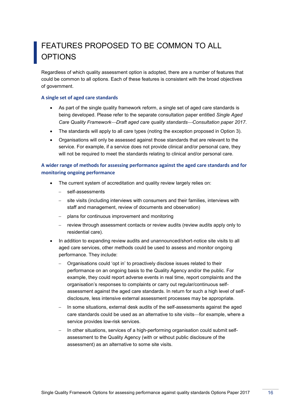## <span id="page-17-0"></span>FEATURES PROPOSED TO BE COMMON TO ALL **OPTIONS**

Regardless of which quality assessment option is adopted, there are a number of features that could be common to all options. Each of these features is consistent with the broad objectives of government.

## **A single set of aged care standards**

- As part of the single quality framework reform, a single set of aged care standards is being developed. Please refer to the separate consultation paper entitled *Single Aged Care Quality FrameworkDraft aged care quality standardsConsultation paper 2017*.
- The standards will apply to all care types (noting the exception proposed in Option 3).
- Organisations will only be assessed against those standards that are relevant to the service. For example, if a service does not provide clinical and/or personal care, they will not be required to meet the standards relating to clinical and/or personal care.

## **A wider range of methods for assessing performance against the aged care standards and for monitoring ongoing performance**

- The current system of accreditation and quality review largely relies on:
	- self-assessments
	- site visits (including interviews with consumers and their families, interviews with staff and management, review of documents and observation)
	- plans for continuous improvement and monitoring
	- review through assessment contacts or review audits (review audits apply only to residential care).
- In addition to expanding review audits and unannounced/short-notice site visits to all aged care services, other methods could be used to assess and monitor ongoing performance. They include:
	- Organisations could 'opt in' to proactively disclose issues related to their performance on an ongoing basis to the Quality Agency and/or the public. For example, they could report adverse events in real time, report complaints and the organisation's responses to complaints or carry out regular/continuous selfassessment against the aged care standards. In return for such a high level of selfdisclosure, less intensive external assessment processes may be appropriate.
	- In some situations, external desk audits of the self-assessments against the aged care standards could be used as an alternative to site visits-for example, where a service provides low-risk services.
	- In other situations, services of a high-performing organisation could submit selfassessment to the Quality Agency (with or without public disclosure of the assessment) as an alternative to some site visits.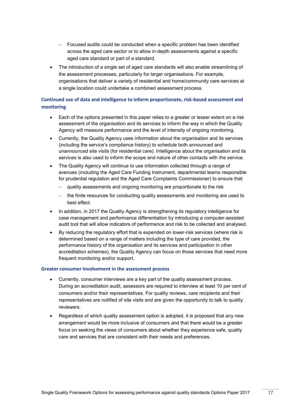- Focused audits could be conducted when a specific problem has been identified across the aged care sector or to allow in-depth assessments against a specific aged care standard or part of a standard.
- The introduction of a single set of aged care standards will also enable streamlining of the assessment processes, particularly for larger organisations. For example, organisations that deliver a variety of residential and home/community care services at a single location could undertake a combined assessment process.

## **Continued use of data and intelligence to inform proportionate, risk-based assessment and monitoring**

- Each of the options presented in this paper relies to a greater or lesser extent on a risk assessment of the organisation and its services to inform the way in which the Quality Agency will measure performance and the level of intensity of ongoing monitoring.
- Currently, the Quality Agency uses information about the organisation and its services (including the service's compliance history) to schedule both announced and unannounced site visits (for residential care). Intelligence about the organisation and its services is also used to inform the scope and nature of other contacts with the service.
- The Quality Agency will continue to use information collected through a range of avenues (including the Aged Care Funding Instrument, departmental teams responsible for prudential regulation and the Aged Care Complaints Commissioner) to ensure that:
	- quality assessments and ongoing monitoring are proportionate to the risk
	- the finite resources for conducting quality assessments and monitoring are used to best effect.
- In addition, in 2017 the Quality Agency is strengthening its regulatory intelligence for case management and performance differentiation by introducing a computer-assisted audit tool that will allow indicators of performance and risk to be collected and analysed.
- By reducing the regulatory effort that is expended on lower-risk services (where risk is determined based on a range of matters including the type of care provided, the performance history of the organisation and its services and participation in other accreditation schemes), the Quality Agency can focus on those services that need more frequent monitoring and/or support.

## **Greater consumer involvement in the assessment process**

- Currently, consumer interviews are a key part of the quality assessment process. During an accreditation audit, assessors are required to interview at least 10 per cent of consumers and/or their representatives. For quality reviews, care recipients and their representatives are notified of site visits and are given the opportunity to talk to quality reviewers.
- Regardless of which quality assessment option is adopted, it is proposed that any new arrangement would be more inclusive of consumers and that there would be a greater focus on seeking the views of consumers about whether they experience safe, quality care and services that are consistent with their needs and preferences.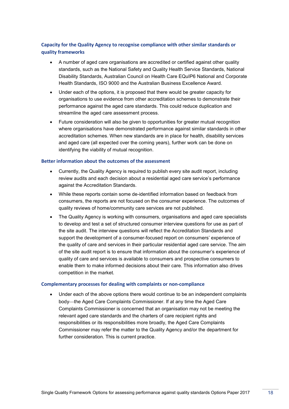## **Capacity for the Quality Agency to recognise compliance with other similar standards or quality frameworks**

- A number of aged care organisations are accredited or certified against other quality standards, such as the National Safety and Quality Health Service Standards, National Disability Standards, Australian Council on Health Care EQuIP6 National and Corporate Health Standards, ISO 9000 and the Australian Business Excellence Award.
- Under each of the options, it is proposed that there would be greater capacity for organisations to use evidence from other accreditation schemes to demonstrate their performance against the aged care standards. This could reduce duplication and streamline the aged care assessment process.
- Future consideration will also be given to opportunities for greater mutual recognition where organisations have demonstrated performance against similar standards in other accreditation schemes. When new standards are in place for health, disability services and aged care (all expected over the coming years), further work can be done on identifying the viability of mutual recognition.

## **Better information about the outcomes of the assessment**

- Currently, the Quality Agency is required to publish every site audit report, including review audits and each decision about a residential aged care service's performance against the Accreditation Standards.
- While these reports contain some de-identified information based on feedback from consumers, the reports are not focused on the consumer experience. The outcomes of quality reviews of home/community care services are not published.
- The Quality Agency is working with consumers, organisations and aged care specialists to develop and test a set of structured consumer interview questions for use as part of the site audit. The interview questions will reflect the Accreditation Standards and support the development of a consumer-focused report on consumers' experience of the quality of care and services in their particular residential aged care service. The aim of the site audit report is to ensure that information about the consumer's experience of quality of care and services is available to consumers and prospective consumers to enable them to make informed decisions about their care. This information also drives competition in the market.

### **Complementary processes for dealing with complaints or non-compliance**

 Under each of the above options there would continue to be an independent complaints body—the Aged Care Complaints Commissioner. If at any time the Aged Care Complaints Commissioner is concerned that an organisation may not be meeting the relevant aged care standards and the charters of care recipient rights and responsibilities or its responsibilities more broadly, the Aged Care Complaints Commissioner may refer the matter to the Quality Agency and/or the department for further consideration. This is current practice.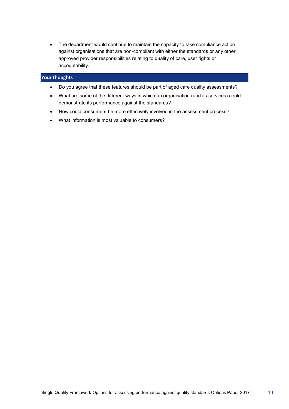• The department would continue to maintain the capacity to take compliance action against organisations that are non-compliant with either the standards or any other approved provider responsibilities relating to quality of care, user rights or accountability.

## **Your thoughts**

- Do you agree that these features should be part of aged care quality assessments?
- What are some of the different ways in which an organisation (and its services) could demonstrate its performance against the standards?
- How could consumers be more effectively involved in the assessment process?
- What information is most valuable to consumers?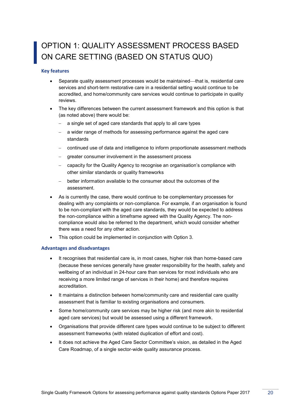## <span id="page-21-0"></span>OPTION 1: QUALITY ASSESSMENT PROCESS BASED ON CARE SETTING (BASED ON STATUS QUO)

## **Key features**

- Separate quality assessment processes would be maintained—that is, residential care services and short-term restorative care in a residential setting would continue to be accredited, and home/community care services would continue to participate in quality reviews.
- The key differences between the current assessment framework and this option is that (as noted above) there would be:
	- a single set of aged care standards that apply to all care types
	- $-$  a wider range of methods for assessing performance against the aged care standards
	- continued use of data and intelligence to inform proportionate assessment methods
	- greater consumer involvement in the assessment process
	- capacity for the Quality Agency to recognise an organisation's compliance with other similar standards or quality frameworks
	- better information available to the consumer about the outcomes of the assessment.
- As is currently the case, there would continue to be complementary processes for dealing with any complaints or non-compliance. For example, if an organisation is found to be non-compliant with the aged care standards, they would be expected to address the non-compliance within a timeframe agreed with the Quality Agency. The noncompliance would also be referred to the department, which would consider whether there was a need for any other action.
- This option could be implemented in conjunction with Option 3.

### **Advantages and disadvantages**

- It recognises that residential care is, in most cases, higher risk than home-based care (because these services generally have greater responsibility for the health, safety and wellbeing of an individual in 24-hour care than services for most individuals who are receiving a more limited range of services in their home) and therefore requires accreditation.
- It maintains a distinction between home/community care and residential care quality assessment that is familiar to existing organisations and consumers.
- Some home/community care services may be higher risk (and more akin to residential aged care services) but would be assessed using a different framework.
- Organisations that provide different care types would continue to be subject to different assessment frameworks (with related duplication of effort and cost).
- It does not achieve the Aged Care Sector Committee's vision, as detailed in the Aged Care Roadmap, of a single sector-wide quality assurance process.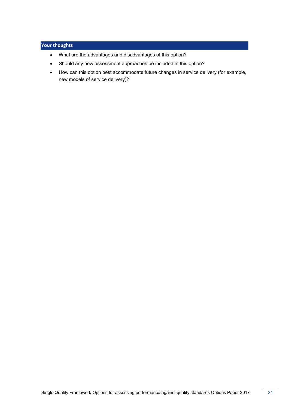## **Your thoughts**

- What are the advantages and disadvantages of this option?
- Should any new assessment approaches be included in this option?
- How can this option best accommodate future changes in service delivery (for example, new models of service delivery)?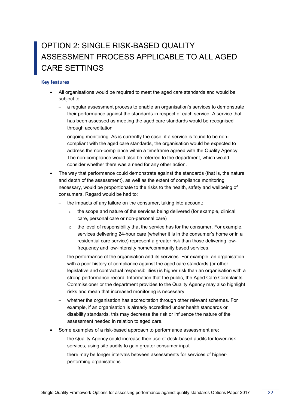## <span id="page-23-0"></span>OPTION 2: SINGLE RISK-BASED QUALITY ASSESSMENT PROCESS APPLICABLE TO ALL AGED CARE SETTINGS

## **Key features**

- All organisations would be required to meet the aged care standards and would be subject to:
	- a regular assessment process to enable an organisation's services to demonstrate their performance against the standards in respect of each service. A service that has been assessed as meeting the aged care standards would be recognised through accreditation
	- ongoing monitoring. As is currently the case, if a service is found to be noncompliant with the aged care standards, the organisation would be expected to address the non-compliance within a timeframe agreed with the Quality Agency. The non-compliance would also be referred to the department, which would consider whether there was a need for any other action.
- The way that performance could demonstrate against the standards (that is, the nature and depth of the assessment), as well as the extent of compliance monitoring necessary, would be proportionate to the risks to the health, safety and wellbeing of consumers. Regard would be had to:
	- the impacts of any failure on the consumer, taking into account:
		- o the scope and nature of the services being delivered (for example, clinical care, personal care or non-personal care)
		- $\circ$  the level of responsibility that the service has for the consumer. For example, services delivering 24-hour care (whether it is in the consumer's home or in a residential care service) represent a greater risk than those delivering lowfrequency and low-intensity home/community based services.
	- the performance of the organisation and its services. For example, an organisation with a poor history of compliance against the aged care standards (or other legislative and contractual responsibilities) is higher risk than an organisation with a strong performance record. Information that the public, the Aged Care Complaints Commissioner or the department provides to the Quality Agency may also highlight risks and mean that increased monitoring is necessary
	- whether the organisation has accreditation through other relevant schemes. For example, if an organisation is already accredited under health standards or disability standards, this may decrease the risk or influence the nature of the assessment needed in relation to aged care*.*
- Some examples of a risk-based approach to performance assessment are:
	- the Quality Agency could increase their use of desk-based audits for lower-risk services, using site audits to gain greater consumer input
	- there may be longer intervals between assessments for services of higherperforming organisations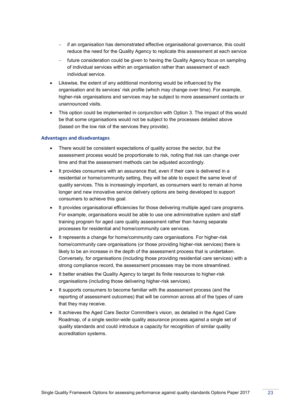- if an organisation has demonstrated effective organisational governance, this could reduce the need for the Quality Agency to replicate this assessment at each service
- future consideration could be given to having the Quality Agency focus on sampling of individual services within an organisation rather than assessment of each individual service.
- Likewise, the extent of any additional monitoring would be influenced by the organisation and its services' risk profile (which may change over time). For example, higher-risk organisations and services may be subject to more assessment contacts or unannounced visits.
- This option could be implemented in conjunction with Option 3. The impact of this would be that some organisations would not be subject to the processes detailed above (based on the low risk of the services they provide).

## **Advantages and disadvantages**

- There would be consistent expectations of quality across the sector, but the assessment process would be proportionate to risk, noting that risk can change over time and that the assessment methods can be adjusted accordingly.
- It provides consumers with an assurance that, even if their care is delivered in a residential or home/community setting, they will be able to expect the same level of quality services. This is increasingly important, as consumers want to remain at home longer and new innovative service delivery options are being developed to support consumers to achieve this goal.
- It provides organisational efficiencies for those delivering multiple aged care programs. For example, organisations would be able to use one administrative system and staff training program for aged care quality assessment rather than having separate processes for residential and home/community care services.
- It represents a change for home/community care organisations. For higher-risk home/community care organisations (or those providing higher-risk services) there is likely to be an increase in the depth of the assessment process that is undertaken. Conversely, for organisations (including those providing residential care services) with a strong compliance record, the assessment processes may be more streamlined.
- It better enables the Quality Agency to target its finite resources to higher-risk organisations (including those delivering higher-risk services).
- It supports consumers to become familiar with the assessment process (and the reporting of assessment outcomes) that will be common across all of the types of care that they may receive.
- It achieves the Aged Care Sector Committee's vision, as detailed in the Aged Care Roadmap, of a single sector-wide quality assurance process against a single set of quality standards and could introduce a capacity for recognition of similar quality accreditation systems.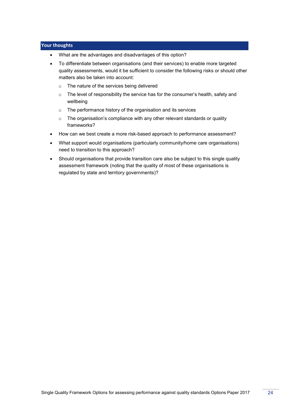## **Your thoughts**

- What are the advantages and disadvantages of this option?
- To differentiate between organisations (and their services) to enable more targeted quality assessments, would it be sufficient to consider the following risks or should other matters also be taken into account:
	- o The nature of the services being delivered
	- o The level of responsibility the service has for the consumer's health, safety and wellbeing
	- o The performance history of the organisation and its services
	- o The organisation's compliance with any other relevant standards or quality frameworks?
- How can we best create a more risk-based approach to performance assessment?
- What support would organisations (particularly community/home care organisations) need to transition to this approach?
- Should organisations that provide transition care also be subject to this single quality assessment framework (noting that the quality of most of these organisations is regulated by state and territory governments)?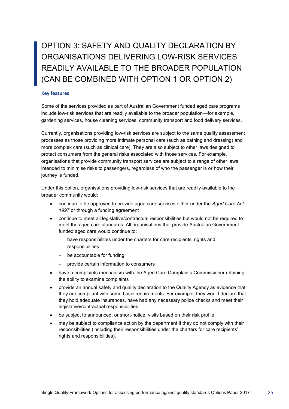## <span id="page-26-0"></span>OPTION 3: SAFETY AND QUALITY DECLARATION BY ORGANISATIONS DELIVERING LOW-RISK SERVICES READILY AVAILABLE TO THE BROADER POPULATION (CAN BE COMBINED WITH OPTION 1 OR OPTION 2)

## **Key features**

Some of the services provided as part of Australian Government funded aged care programs include low-risk services that are readily available to the broader population—for example, gardening services, house cleaning services, community transport and food delivery services.

Currently, organisations providing low-risk services are subject to the same quality assessment processes as those providing more intimate personal care (such as bathing and dressing) and more complex care (such as clinical care). They are also subject to other laws designed to protect consumers from the general risks associated with those services. For example, organisations that provide community transport services are subject to a range of other laws intended to minimise risks to passengers, regardless of who the passenger is or how their journey is funded.

Under this option, organisations providing low-risk services that are readily available to the broader community would:

- continue to be approved to provide aged care services either under the *Aged Care Act 1997* or through a funding agreement
- continue to meet all legislative/contractual responsibilities but would not be required to meet the aged care standards. All organisations that provide Australian Government funded aged care would continue to:
	- have responsibilities under the charters for care recipients' rights and responsibilities
	- $-$  be accountable for funding
	- provide certain information to consumers
- have a complaints mechanism with the Aged Care Complaints Commissioner retaining the ability to examine complaints
- provide an annual safety and quality declaration to the Quality Agency as evidence that they are compliant with some basic requirements. For example, they would declare that they hold adequate insurances, have had any necessary police checks and meet their legislative/contractual responsibilities
- be subject to announced, or short-notice, visits based on their risk profile
- may be subject to compliance action by the department if they do not comply with their responsibilities (including their responsibilities under the charters for care recipients' rights and responsibilities).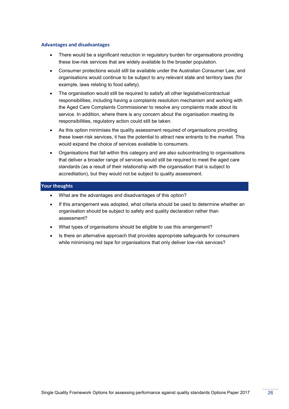### **Advantages and disadvantages**

- There would be a significant reduction in regulatory burden for organisations providing these low-risk services that are widely available to the broader population.
- Consumer protections would still be available under the Australian Consumer Law, and organisations would continue to be subject to any relevant state and territory laws (for example, laws relating to food safety).
- The organisation would still be required to satisfy all other legislative/contractual responsibilities, including having a complaints resolution mechanism and working with the Aged Care Complaints Commissioner to resolve any complaints made about its service. In addition, where there is any concern about the organisation meeting its responsibilities, regulatory action could still be taken.
- As this option minimises the quality assessment required of organisations providing these lower-risk services, it has the potential to attract new entrants to the market. This would expand the choice of services available to consumers.
- Organisations that fall within this category and are also subcontracting to organisations that deliver a broader range of services would still be required to meet the aged care standards (as a result of their relationship with the organisation that is subject to accreditation), but they would not be subject to quality assessment.

## **Your thoughts**

- What are the advantages and disadvantages of this option?
- If this arrangement was adopted, what criteria should be used to determine whether an organisation should be subject to safety and quality declaration rather than assessment?
- What types of organisations should be eligible to use this arrangement?
- Is there an alternative approach that provides appropriate safeguards for consumers while minimising red tape for organisations that only deliver low-risk services?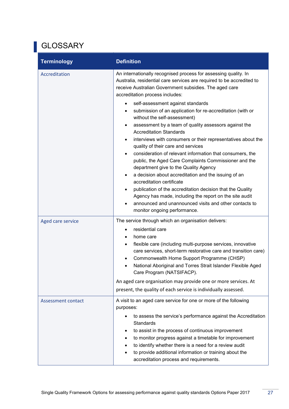# <span id="page-28-0"></span>GLOSSARY

| <b>Terminology</b>        | <b>Definition</b>                                                                                                                                                                                                                                                                                                                                                                            |
|---------------------------|----------------------------------------------------------------------------------------------------------------------------------------------------------------------------------------------------------------------------------------------------------------------------------------------------------------------------------------------------------------------------------------------|
| Accreditation             | An internationally recognised process for assessing quality. In<br>Australia, residential care services are required to be accredited to<br>receive Australian Government subsidies. The aged care<br>accreditation process includes:<br>self-assessment against standards                                                                                                                   |
|                           | submission of an application for re-accreditation (with or<br>$\bullet$<br>without the self-assessment)<br>assessment by a team of quality assessors against the<br>$\bullet$<br><b>Accreditation Standards</b>                                                                                                                                                                              |
|                           | interviews with consumers or their representatives about the<br>$\bullet$<br>quality of their care and services<br>consideration of relevant information that consumers, the<br>$\bullet$<br>public, the Aged Care Complaints Commissioner and the<br>department give to the Quality Agency                                                                                                  |
|                           | a decision about accreditation and the issuing of an<br>$\bullet$<br>accreditation certificate                                                                                                                                                                                                                                                                                               |
|                           | publication of the accreditation decision that the Quality<br>٠<br>Agency has made, including the report on the site audit<br>announced and unannounced visits and other contacts to<br>monitor ongoing performance.                                                                                                                                                                         |
| Aged care service         | The service through which an organisation delivers:                                                                                                                                                                                                                                                                                                                                          |
|                           | residential care<br>home care<br>flexible care (including multi-purpose services, innovative<br>$\bullet$<br>care services, short-term restorative care and transition care)<br>Commonwealth Home Support Programme (CHSP)<br>$\bullet$<br>National Aboriginal and Torres Strait Islander Flexible Aged<br>$\bullet$<br>Care Program (NATSIFACP).                                            |
|                           | An aged care organisation may provide one or more services. At<br>present, the quality of each service is individually assessed.                                                                                                                                                                                                                                                             |
| <b>Assessment contact</b> | A visit to an aged care service for one or more of the following<br>purposes:                                                                                                                                                                                                                                                                                                                |
|                           | to assess the service's performance against the Accreditation<br>$\bullet$<br><b>Standards</b><br>to assist in the process of continuous improvement<br>to monitor progress against a timetable for improvement<br>$\bullet$<br>to identify whether there is a need for a review audit<br>to provide additional information or training about the<br>accreditation process and requirements. |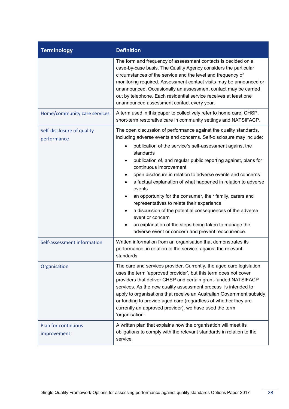| <b>Terminology</b>                        | <b>Definition</b>                                                                                                                                                                                                                                                                                                                                                                                                                                                                                                                                                                                                                                                                                                                                                                            |
|-------------------------------------------|----------------------------------------------------------------------------------------------------------------------------------------------------------------------------------------------------------------------------------------------------------------------------------------------------------------------------------------------------------------------------------------------------------------------------------------------------------------------------------------------------------------------------------------------------------------------------------------------------------------------------------------------------------------------------------------------------------------------------------------------------------------------------------------------|
|                                           | The form and frequency of assessment contacts is decided on a<br>case-by-case basis. The Quality Agency considers the particular<br>circumstances of the service and the level and frequency of<br>monitoring required. Assessment contact visits may be announced or<br>unannounced. Occasionally an assessment contact may be carried<br>out by telephone. Each residential service receives at least one<br>unannounced assessment contact every year.                                                                                                                                                                                                                                                                                                                                    |
| Home/community care services              | A term used in this paper to collectively refer to home care, CHSP,<br>short-term restorative care in community settings and NATSIFACP.                                                                                                                                                                                                                                                                                                                                                                                                                                                                                                                                                                                                                                                      |
| Self-disclosure of quality<br>performance | The open discussion of performance against the quality standards,<br>including adverse events and concerns. Self-disclosure may include:<br>publication of the service's self-assessment against the<br>$\bullet$<br>standards<br>publication of, and regular public reporting against, plans for<br>$\bullet$<br>continuous improvement<br>open disclosure in relation to adverse events and concerns<br>a factual explanation of what happened in relation to adverse<br>events<br>an opportunity for the consumer, their family, carers and<br>representatives to relate their experience<br>a discussion of the potential consequences of the adverse<br>event or concern<br>an explanation of the steps being taken to manage the<br>adverse event or concern and prevent reoccurrence. |
| Self-assessment information               | Written information from an organisation that demonstrates its<br>performance, in relation to the service, against the relevant<br>standards.                                                                                                                                                                                                                                                                                                                                                                                                                                                                                                                                                                                                                                                |
| Organisation                              | The care and services provider. Currently, the aged care legislation<br>uses the term 'approved provider', but this term does not cover<br>providers that deliver CHSP and certain grant-funded NATSIFACP<br>services. As the new quality assessment process is intended to<br>apply to organisations that receive an Australian Government subsidy<br>or funding to provide aged care (regardless of whether they are<br>currently an approved provider), we have used the term<br>'organisation'.                                                                                                                                                                                                                                                                                          |
| <b>Plan for continuous</b><br>improvement | A written plan that explains how the organisation will meet its<br>obligations to comply with the relevant standards in relation to the<br>service.                                                                                                                                                                                                                                                                                                                                                                                                                                                                                                                                                                                                                                          |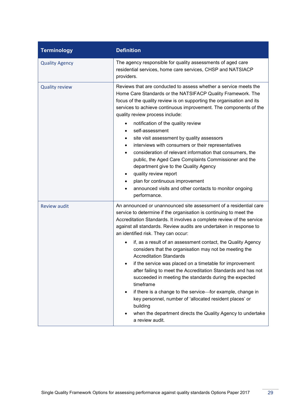| <b>Terminology</b>    | <b>Definition</b>                                                                                                                                                                                                                                                                                                                                                                                                                                                                                                                                                                                                                                                                                                                                                                                                                                                                                                                              |
|-----------------------|------------------------------------------------------------------------------------------------------------------------------------------------------------------------------------------------------------------------------------------------------------------------------------------------------------------------------------------------------------------------------------------------------------------------------------------------------------------------------------------------------------------------------------------------------------------------------------------------------------------------------------------------------------------------------------------------------------------------------------------------------------------------------------------------------------------------------------------------------------------------------------------------------------------------------------------------|
| <b>Quality Agency</b> | The agency responsible for quality assessments of aged care<br>residential services, home care services, CHSP and NATSIACP<br>providers.                                                                                                                                                                                                                                                                                                                                                                                                                                                                                                                                                                                                                                                                                                                                                                                                       |
| <b>Quality review</b> | Reviews that are conducted to assess whether a service meets the<br>Home Care Standards or the NATSIFACP Quality Framework. The<br>focus of the quality review is on supporting the organisation and its<br>services to achieve continuous improvement. The components of the<br>quality review process include:<br>notification of the quality review<br>٠<br>self-assessment<br>٠<br>site visit assessment by quality assessors<br>٠<br>interviews with consumers or their representatives<br>consideration of relevant information that consumers, the<br>public, the Aged Care Complaints Commissioner and the<br>department give to the Quality Agency<br>quality review report<br>٠<br>plan for continuous improvement<br>announced visits and other contacts to monitor ongoing<br>performance.                                                                                                                                         |
| <b>Review audit</b>   | An announced or unannounced site assessment of a residential care<br>service to determine if the organisation is continuing to meet the<br>Accreditation Standards. It involves a complete review of the service<br>against all standards. Review audits are undertaken in response to<br>an identified risk. They can occur:<br>if, as a result of an assessment contact, the Quality Agency<br>$\bullet$<br>considers that the organisation may not be meeting the<br><b>Accreditation Standards</b><br>if the service was placed on a timetable for improvement<br>after failing to meet the Accreditation Standards and has not<br>succeeded in meeting the standards during the expected<br>timeframe<br>if there is a change to the service-for example, change in<br>$\bullet$<br>key personnel, number of 'allocated resident places' or<br>building<br>when the department directs the Quality Agency to undertake<br>a review audit. |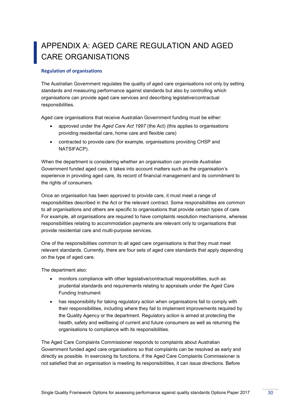## <span id="page-31-0"></span>APPENDIX A: AGED CARE REGULATION AND AGED CARE ORGANISATIONS

## **Regulation of organisations**

The Australian Government regulates the quality of aged care organisations not only by setting standards and measuring performance against standards but also by controlling which organisations can provide aged care services and describing legislative/contractual responsibilities.

Aged care organisations that receive Australian Government funding must be either:

- approved under the *Aged Care Act 1997* (the Act) (this applies to organisations providing residential care, home care and flexible care)
- contracted to provide care (for example, organisations providing CHSP and NATSIFACP).

When the department is considering whether an organisation can provide Australian Government funded aged care, it takes into account matters such as the organisation's experience in providing aged care, its record of financial management and its commitment to the rights of consumers.

Once an organisation has been approved to provide care, it must meet a range of responsibilities described in the Act or the relevant contract. Some responsibilities are common to all organisations and others are specific to organisations that provide certain types of care. For example, all organisations are required to have complaints resolution mechanisms, whereas responsibilities relating to accommodation payments are relevant only to organisations that provide residential care and multi-purpose services.

One of the responsibilities common to all aged care organisations is that they must meet relevant standards. Currently, there are four sets of aged care standards that apply depending on the type of aged care.

The department also:

- monitors compliance with other legislative/contractual responsibilities, such as prudential standards and requirements relating to appraisals under the Aged Care Funding Instrument
- has responsibility for taking regulatory action when organisations fail to comply with their responsibilities, including where they fail to implement improvements required by the Quality Agency or the department. Regulatory action is aimed at protecting the health, safety and wellbeing of current and future consumers as well as returning the organisations to compliance with its responsibilities.

The Aged Care Complaints Commissioner responds to complaints about Australian Government funded aged care organisations so that complaints can be resolved as early and directly as possible. In exercising its functions, if the Aged Care Complaints Commissioner is not satisfied that an organisation is meeting its responsibilities, it can issue directions. Before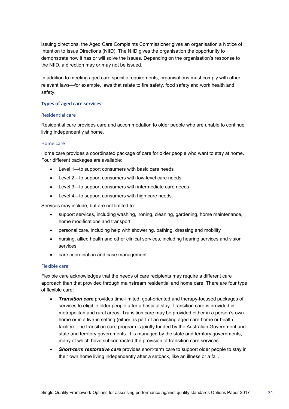issuing directions, the Aged Care Complaints Commissioner gives an organisation a Notice of Intention to Issue Directions (NIID). The NIID gives the organisation the opportunity to demonstrate how it has or will solve the issues. Depending on the organisation's response to the NIID, a direction may or may not be issued.

In addition to meeting aged care specific requirements, organisations must comply with other relevant laws—for example, laws that relate to fire safety, food safety and work health and safety.

## **Types of aged care services**

## Residential care

Residential care provides care and accommodation to older people who are unable to continue living independently at home.

## Home care

Home care provides a coordinated package of care for older people who want to stay at home. Four different packages are available:

- Level 1-to support consumers with basic care needs
- Level 2-to support consumers with low-level care needs
- Level 3-to support consumers with intermediate care needs
- $\bullet$  Level 4 to support consumers with high care needs.

Services may include, but are not limited to:

- support services, including washing, ironing, cleaning, gardening, home maintenance, home modifications and transport
- personal care, including help with showering, bathing, dressing and mobility
- nursing, allied health and other clinical services, including hearing services and vision services
- care coordination and case management.

### Flexible care

Flexible care acknowledges that the needs of care recipients may require a different care approach than that provided through mainstream residential and home care. There are four type of flexible care:

- *Transition care* provides time-limited, goal-oriented and therapy-focused packages of services to eligible older people after a hospital stay. Transition care is provided in metropolitan and rural areas. Transition care may be provided either in a person's own home or in a live-in setting (either as part of an existing aged care home or health facility). The transition care program is jointly funded by the Australian Government and state and territory governments. It is managed by the state and territory governments, many of which have subcontracted the provision of transition care services.
- *Short-term restorative care* provides short-term care to support older people to stay in their own home living independently after a setback, like an illness or a fall.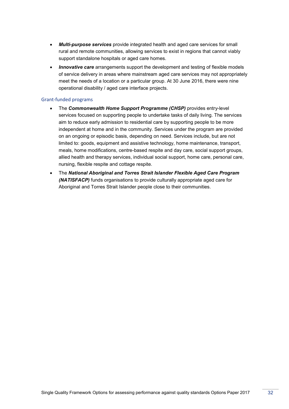- *Multi-purpose services* provide integrated health and aged care services for small rural and remote communities, allowing services to exist in regions that cannot viably support standalone hospitals or aged care homes.
- *Innovative care* arrangements support the development and testing of flexible models of service delivery in areas where mainstream aged care services may not appropriately meet the needs of a location or a particular group. At 30 June 2016, there were nine operational disability / aged care interface projects.

## Grant-funded programs

- The *Commonwealth Home Support Programme (CHSP)* provides entry-level services focused on supporting people to undertake tasks of daily living. The services aim to reduce early admission to residential care by supporting people to be more independent at home and in the community. Services under the program are provided on an ongoing or episodic basis, depending on need. Services include, but are not limited to: goods, equipment and assistive technology, home maintenance, transport, meals, home modifications, centre-based respite and day care, social support groups, allied health and therapy services, individual social support, home care, personal care, nursing, flexible respite and cottage respite.
- The *National Aboriginal and Torres Strait Islander Flexible Aged Care Program (NATISFACP)* funds organisations to provide culturally appropriate aged care for Aboriginal and Torres Strait Islander people close to their communities.